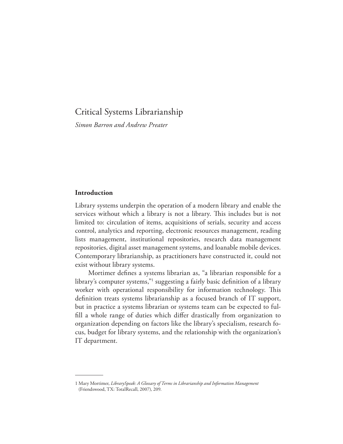# Critical Systems Librarianship

*Simon Barron and Andrew Preater*

# **Introduction**

Library systems underpin the operation of a modern library and enable the services without which a library is not a library. This includes but is not limited to: circulation of items, acquisitions of serials, security and access control, analytics and reporting, electronic resources management, reading lists management, institutional repositories, research data management repositories, digital asset management systems, and loanable mobile devices. Contemporary librarianship, as practitioners have constructed it, could not exist without library systems.

Mortimer defnes a systems librarian as, "a librarian responsible for a library's computer systems,"1 suggesting a fairly basic definition of a library worker with operational responsibility for information technology. This defnition treats systems librarianship as a focused branch of IT support, but in practice a systems librarian or systems team can be expected to fulfll a whole range of duties which difer drastically from organization to organization depending on factors like the library's specialism, research focus, budget for library systems, and the relationship with the organization's IT department.

<sup>1</sup> Mary Mortimer, *LibrarySpeak: A Glossary of Terms in Librarianship and Information Management* (Friendswood, TX: TotalRecall, 2007), 209.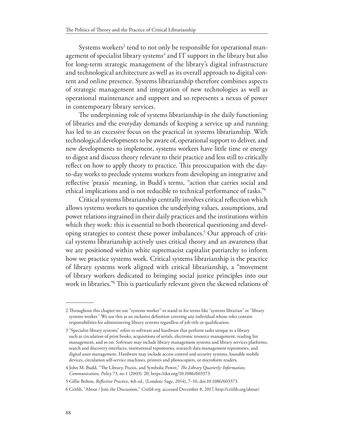Systems workers<sup>2</sup> tend to not only be responsible for operational management of specialist library systems<sup>3</sup> and IT support in the library but also for long-term strategic management of the library's digital infrastructure and technological architecture as well as its overall approach to digital content and online presence. Systems librarianship therefore combines aspects of strategic management and integration of new technologies as well as operational maintenance and support and so represents a nexus of power in contemporary library services.

The underpinning role of systems librarianship in the daily functioning of libraries and the everyday demands of keeping a service up and running has led to an excessive focus on the practical in systems librarianship. With technological developments to be aware of, operational support to deliver, and new developments to implement, systems workers have little time or energy to digest and discuss theory relevant to their practice and less still to critically reflect on how to apply theory to practice. This preoccupation with the dayto-day works to preclude systems workers from developing an integrative and refective 'praxis' meaning, in Budd's terms, "action that carries social and ethical implications and is not reducible to technical performance of tasks."4

Critical systems librarianship centrally involves critical refection which allows systems workers to question the underlying values, assumptions, and power relations ingrained in their daily practices and the institutions within which they work: this is essential to both theoretical questioning and developing strategies to contest these power imbalances.5 Our approach of critical systems librarianship actively uses critical theory and an awareness that we are positioned within white supremacist capitalist patriarchy to inform how we practice systems work. Critical systems librarianship is the practice of library systems work aligned with critical librarianship, a "movement of library workers dedicated to bringing social justice principles into our work in libraries."<sup>6</sup> This is particularly relevant given the skewed relations of

<sup>2</sup> Throughout this chapter we use "systems worker" to stand in for terms like "systems librarian" or "library systems worker." We use this as an inclusive defnition covering any individual whose roles contain responsibilities for administering library systems regardless of job title or qualifcation.

<sup>3</sup> "Specialist library systems" refers to software and hardware that perform tasks unique to a library such as circulation of print books, acquisitions of serials, electronic resource management, reading list management, and so on. Software may include library management systems and library services platforms, search and discovery interfaces, institutional repositories, research data management repositories, and digital asset management. Hardware may include access control and security systems, loanable mobile devices, circulation self-service machines, printers and photocopiers, or microform readers.

<sup>4</sup> John M. Budd, "The Library, Praxis, and Symbolic Power," The Library Quarterly: Information, *Communication, Policy* 73, no 1 (2003): 20, https://doi.org/10.1086/603373.

<sup>5</sup> Gillie Bolton, *Refective Practice*, 4th ed., (London: Sage, 2014), 7–10, doi:10.1086/603373.

<sup>6</sup> Critlib, "About / Join the Discussion," *Critlib.org*, accessed December 8, 2017, http://critlib.org/about/.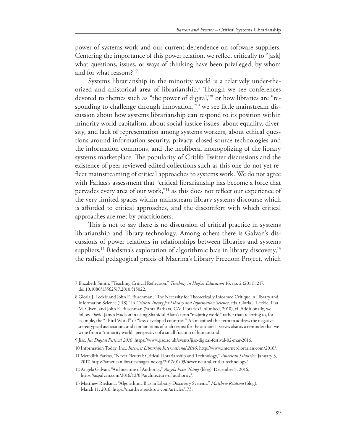power of systems work and our current dependence on software suppliers. Centering the importance of this power relation, we refect critically to "[ask] what questions, issues, or ways of thinking have been privileged, by whom and for what reasons?"7

Systems librarianship in the minority world is a relatively under-theorized and ahistorical area of librarianship.<sup>8</sup> Though we see conferences devoted to themes such as "the power of digital,"9 or how libraries are "responding to challenge through innovation,"<sup>10</sup> we see little mainstream discussion about how systems librarianship can respond to its position within minority world capitalism, about social justice issues, about equality, diversity, and lack of representation among systems workers, about ethical questions around information security, privacy, closed-source technologies and the information commons, and the neoliberal monopolizing of the library systems marketplace. The popularity of Critlib Twitter discussions and the existence of peer-reviewed edited collections such as this one do not yet refect mainstreaming of critical approaches to systems work. We do not agree with Farkas's assessment that "critical librarianship has become a force that pervades every area of our work,"11 as this does not refect our experience of the very limited spaces within mainstream library systems discourse which is aforded to critical approaches, and the discomfort with which critical approaches are met by practitioners.

This is not to say there is no discussion of critical practice in systems librarianship and library technology. Among others there is Galvan's discussions of power relations in relationships between libraries and systems suppliers,<sup>12</sup> Riedsma's exploration of algorithmic bias in library discovery,<sup>13</sup> the radical pedagogical praxis of Macrina's Library Freedom Project, which

<sup>7</sup> Elizabeth Smith, "Teaching Critical Reflection," *Teaching in Higher Education* 16, no. 2 (2011): 217, doi:10.1080/13562517.2010.515022.

<sup>8</sup> Gloria J. Leckie and John E. Buschman, "The Necessity for Theoretically Informed Critique in Library and Information Science (LIS)," in *Critical Teory for Library and Information Science*, eds. Gloria J. Leckie, Lisa M. Given, and John E. Buschman (Santa Barbara, CA: Libraries Unlimited, 2010), xi. Additionally, we follow David James Hudson in using Shahidul Alam's term "majority world" rather than referring to, for example, the "Tird World" or "less-developed countries." Alam coined this term to address the negative stereotypical associations and connotations of such terms; for the authors it serves also as a reminder that we write from a "minority world" perspective of a small fraction of humankind.

<sup>9</sup> Jisc, *Jisc Digital Festival 2016*, https://www.jisc.ac.uk/events/jisc-digital-festival-02-mar-2016.

<sup>10</sup> Information Today, Inc., *Internet Librarian International 2016,* http://www.internet-librarian.com/2016/.

<sup>11</sup> Meredith Farkas, "Never Neutral: Critical Librarianship and Technology," *American Libraries*, January 3, 2017, https://americanlibrariesmagazine.org/2017/01/03/never-neutral-critlib-technology/.

<sup>12</sup> Angela Galvan, "Architecture of Authority," *Angela Fixes Tings* (blog), December 5, 2016, https://asgalvan.com/2016/12/05/architecture-of-authority/.

<sup>13</sup> Matthew Riedsma, "Algorithmic Bias in Library Discovery Systems," *Matthew Reidsma* (blog), March 11, 2016, https://matthew.reidsrow.com/articles/173.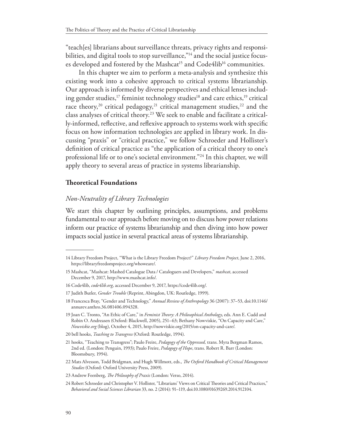"teach[es] librarians about surveillance threats, privacy rights and responsibilities, and digital tools to stop surveillance,"<sup>14</sup> and the social justice focuses developed and fostered by the Mashcat<sup>15</sup> and Code4lib<sup>16</sup> communities.

In this chapter we aim to perform a meta-analysis and synthesize this existing work into a cohesive approach to critical systems librarianship. Our approach is informed by diverse perspectives and ethical lenses including gender studies,<sup>17</sup> feminist technology studies<sup>18</sup> and care ethics,<sup>19</sup> critical race theory,<sup>20</sup> critical pedagogy,<sup>21</sup> critical management studies,<sup>22</sup> and the class analyses of critical theory.<sup>23</sup> We seek to enable and facilitate a critically-informed, refective, and refexive approach to systems work with specifc focus on how information technologies are applied in library work. In discussing "praxis" or "critical practice," we follow Schroeder and Hollister's defnition of critical practice as "the application of a critical theory to one's professional life or to one's societal environment."24 In this chapter, we will apply theory to several areas of practice in systems librarianship.

# **Teoretical Foundations**

# *Non-Neutrality of Library Technologies*

We start this chapter by outlining principles, assumptions, and problems fundamental to our approach before moving on to discuss how power relations inform our practice of systems librarianship and then diving into how power impacts social justice in several practical areas of systems librarianship.

<sup>14</sup> Library Freedom Project, "What is the Library Freedom Project?" *Library Freedom Project*, June 2, 2016, https://libraryfreedomproject.org/whoweare/.

<sup>15</sup> Mashcat, "Mashcat: Mashed Catalogue Data / Cataloguers and Developers," *mashcat*, accessed December 9, 2017, http://www.mashcat.info/.

<sup>16</sup> Code4lib, *code4lib.org*, accessed December 9, 2017, https://code4lib.org/.

<sup>17</sup> Judith Butler, *Gender Trouble* (Reprint, Abingdon, UK: Routledge, 1999).

<sup>18</sup> Francesca Bray, "Gender and Technology," *Annual Review of Anthropology* 36 (2007): 37–53, doi:10.1146/ annurev.anthro.36.081406.094328.

<sup>19</sup> Joan C. Tronto, "An Ethic of Care," in *Feminist Teory: A Philosophical Anthology*, eds. Ann E. Cudd and Robin O. Andreasen (Oxford: Blackwell, 2005), 251–63; Bethany Nowviskie, "On Capacity and Care," *Nowviskie.org* (blog), October 4, 2015, http://nowviskie.org/2015/on-capacity-and-care/.

<sup>20</sup> bell hooks, *Teaching to Transgress* (Oxford: Routledge, 1994).

<sup>21</sup> hooks, "Teaching to Transgress"; Paulo Freire, *Pedagogy of the Oppressed,* trans. Myra Bergman Ramos, 2nd ed. (London: Penguin, 1993); Paulo Freire, *Pedagogy of Hope*, trans. Robert R. Barr (London: Bloomsbury, 1994).

<sup>22</sup> Mats Alvesson, Todd Bridgman, and Hugh Willmott, eds., *Te Oxford Handbook of Critical Management Studies* (Oxford: Oxford University Press, 2009).

<sup>23</sup> Andrew Feenberg, *Te Philosophy of Praxis* (London: Verso, 2014).

<sup>24</sup> Robert Schroeder and Christopher V. Hollister, "Librarians' Views on Critical Theories and Critical Practices," *Behavioral and Social Sciences Librarian* 33, no. 2 (2014): 91–119, doi:10.1080/01639269.2014.912104.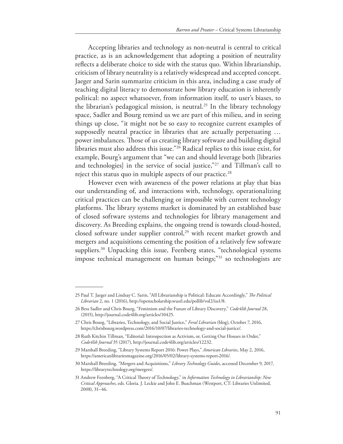Accepting libraries and technology as non-neutral is central to critical practice, as is an acknowledgement that adopting a position of neutrality refects a deliberate choice to side with the status quo. Within librarianship, criticism of library neutrality is a relatively widespread and accepted concept. Jaeger and Sarin summarize criticism in this area, including a case study of teaching digital literacy to demonstrate how library education is inherently political: no aspect whatsoever, from information itself, to user's biases, to the librarian's pedagogical mission, is neutral.<sup>25</sup> In the library technology space, Sadler and Bourg remind us we are part of this milieu, and in seeing things up close, "it might not be so easy to recognize current examples of supposedly neutral practice in libraries that are actually perpetuating … power imbalances. Those of us creating library software and building digital libraries must also address this issue."26 Radical replies to this issue exist, for example, Bourg's argument that "we can and should leverage both [libraries and technologies] in the service of social justice,"<sup>27</sup> and Tillman's call to reject this status quo in multiple aspects of our practice.<sup>28</sup>

However even with awareness of the power relations at play that bias our understanding of, and interactions with, technology, operationalizing critical practices can be challenging or impossible with current technology platforms. The library systems market is dominated by an established base of closed software systems and technologies for library management and discovery. As Breeding explains, the ongoing trend is towards cloud-hosted, closed software under supplier control,<sup>29</sup> with recent market growth and mergers and acquisitions cementing the position of a relatively few software suppliers.<sup>30</sup> Unpacking this issue, Feenberg states, "technological systems impose technical management on human beings;<sup>"31</sup> so technologists are

<sup>25</sup> Paul T. Jaeger and Lindsay C. Sarin, "All Librarianship is Political: Educate Accordingly," *Te Political Librarian* 2, no. 1 (2016), http://openscholarship.wustl.edu/pollib/vol2/iss1/8.

<sup>26</sup> Bess Sadler and Chris Bourg, "Feminism and the Future of Library Discovery," *Code4lib Journal* 28, (2015), http://journal.code4lib.org/articles/10425.

<sup>27</sup> Chris Bourg, "Libraries, Technology, and Social Justice," *Feral Librarian* (blog), October 7, 2016, https://chrisbourg.wordpress.com/2016/10/07/libraries-technology-and-social-justice/.

<sup>28</sup> Ruth Kitchin Tillman, "Editorial: Introspection as Activism, or, Getting Our Houses in Order," *Code4lib Journal* 35 (2017), http://journal.code4lib.org/articles/12232.

<sup>29</sup> Marshall Breeding, "Library Systems Report 2016: Power Plays," *American Libraries*, May 2, 2016, https://americanlibrariesmagazine.org/2016/05/02/library-systems-report-2016/.

<sup>30</sup> Marshall Breeding, "Mergers and Acquisitions," *Library Technology Guides*, accessed December 9, 2017, https://librarytechnology.org/mergers/.

<sup>31</sup> Andrew Feenberg, "A Critical Theory of Technology," in *Information Technology in Librarianship: New Critical Approaches*, eds. Gloria. J. Leckie and John E. Buschman (Westport, CT: Libraries Unlimited, 2008), 31–46.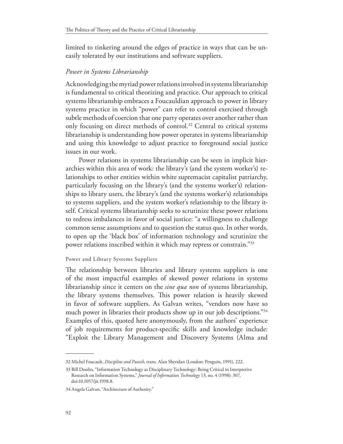limited to tinkering around the edges of practice in ways that can be uneasily tolerated by our institutions and software suppliers.

# *Power in Systems Librarianship*

Acknowledging the myriad power relations involved in systems librarianship is fundamental to critical theorizing and practice. Our approach to critical systems librarianship embraces a Foucauldian approach to power in library systems practice in which "power" can refer to control exercised through subtle methods of coercion that one party operates over another rather than only focusing on direct methods of control.<sup>32</sup> Central to critical systems librarianship is understanding how power operates in systems librarianship and using this knowledge to adjust practice to foreground social justice issues in our work.

Power relations in systems librarianship can be seen in implicit hierarchies within this area of work: the library's (and the system worker's) relationships to other entities within white supremacist capitalist patriarchy, particularly focusing on the library's (and the systems worker's) relationships to library users, the library's (and the systems worker's) relationships to systems suppliers, and the system worker's relationship to the library itself. Critical systems librarianship seeks to scrutinize these power relations to redress imbalances in favor of social justice: "a willingness to challenge common sense assumptions and to question the status quo. In other words, to open up the 'black box' of information technology and scrutinize the power relations inscribed within it which may repress or constrain."33

#### Power and Library Systems Suppliers

The relationship between libraries and library systems suppliers is one of the most impactful examples of skewed power relations in systems librarianship since it centers on the *sine qua non* of systems librarianship, the library systems themselves. This power relation is heavily skewed in favor of software suppliers. As Galvan writes, "vendors now have so much power in libraries their products show up in our job descriptions."<sup>34</sup> Examples of this, quoted here anonymously, from the authors' experience of job requirements for product-specifc skills and knowledge include: "Exploit the Library Management and Discovery Systems (Alma and

<sup>32</sup> Michel Foucault, *Discipline and Punish*, trans. Alan Sheridan (London: Penguin, 1991), 222.

<sup>33</sup> Bill Doolin, "Information Technology as Disciplinary Technology: Being Critical in Interpretive Research on Information Systems," *Journal of Information Technology* 13, no. 4 (1998): 307, doi:10.1057/jit.1998.8.

<sup>34</sup> Angela Galvan, "Architecture of Authority."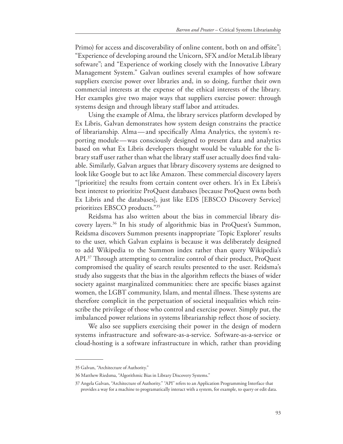Primo) for access and discoverability of online content, both on and offsite"; "Experience of developing around the Unicorn, SFX and/or MetaLib library software"; and "Experience of working closely with the Innovative Library Management System." Galvan outlines several examples of how software suppliers exercise power over libraries and, in so doing, further their own commercial interests at the expense of the ethical interests of the library. Her examples give two major ways that suppliers exercise power: through systems design and through library staf labor and attitudes.

Using the example of Alma, the library services platform developed by Ex Libris, Galvan demonstrates how system design constrains the practice of librarianship. Alma—and specifcally Alma Analytics, the system's reporting module—was consciously designed to present data and analytics based on what Ex Libris developers thought would be valuable for the library staff user rather than what the library staff user actually does find valuable. Similarly, Galvan argues that library discovery systems are designed to look like Google but to act like Amazon. These commercial discovery layers "[prioritize] the results from certain content over others. It's in Ex Libris's best interest to prioritize ProQuest databases [because ProQuest owns both Ex Libris and the databases], just like EDS [EBSCO Discovery Service] prioritizes EBSCO products."35

Reidsma has also written about the bias in commercial library discovery layers.36 In his study of algorithmic bias in ProQuest's Summon, Reidsma discovers Summon presents inappropriate 'Topic Explorer' results to the user, which Galvan explains is because it was deliberately designed to add Wikipedia to the Summon index rather than query Wikipedia's API.<sup>37</sup> Through attempting to centralize control of their product, ProQuest compromised the quality of search results presented to the user. Reidsma's study also suggests that the bias in the algorithm refects the biases of wider society against marginalized communities: there are specifc biases against women, the LGBT community, Islam, and mental illness. These systems are therefore complicit in the perpetuation of societal inequalities which reinscribe the privilege of those who control and exercise power. Simply put, the imbalanced power relations in systems librarianship refect those of society.

We also see suppliers exercising their power in the design of modern systems infrastructure and software-as-a-service. Software-as-a-service or cloud-hosting is a software infrastructure in which, rather than providing

<sup>35</sup> Galvan, "Architecture of Authority."

<sup>36</sup> Matthew Riedsma, "Algorithmic Bias in Library Discovery Systems."

<sup>37</sup> Angela Galvan, "Architecture of Authority." "API" refers to an Application Programming Interface that provides a way for a machine to programatically interact with a system, for example, to query or edit data.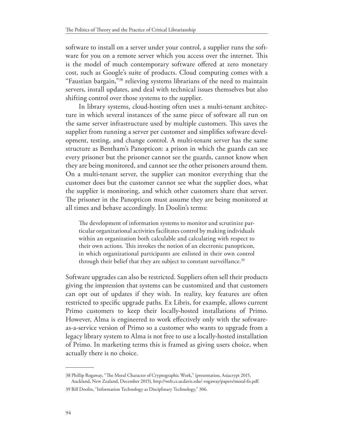software to install on a server under your control, a supplier runs the software for you on a remote server which you access over the internet. This is the model of much contemporary software ofered at zero monetary cost, such as Google's suite of products. Cloud computing comes with a "Faustian bargain,"38 relieving systems librarians of the need to maintain servers, install updates, and deal with technical issues themselves but also shifting control over those systems to the supplier.

In library systems, cloud-hosting often uses a multi-tenant architecture in which several instances of the same piece of software all run on the same server infrastructure used by multiple customers. This saves the supplier from running a server per customer and simplifes software development, testing, and change control. A multi-tenant server has the same structure as Bentham's Panopticon: a prison in which the guards can see every prisoner but the prisoner cannot see the guards, cannot know when they are being monitored, and cannot see the other prisoners around them. On a multi-tenant server, the supplier can monitor everything that the customer does but the customer cannot see what the supplier does, what the supplier is monitoring, and which other customers share that server. The prisoner in the Panopticon must assume they are being monitored at all times and behave accordingly. In Doolin's terms:

The development of information systems to monitor and scrutinize particular organizational activities facilitates control by making individuals within an organization both calculable and calculating with respect to their own actions. This invokes the notion of an electronic panopticon, in which organizational participants are enlisted in their own control through their belief that they are subject to constant surveillance.<sup>39</sup>

Software upgrades can also be restricted. Suppliers often sell their products giving the impression that systems can be customized and that customers can opt out of updates if they wish. In reality, key features are often restricted to specifc upgrade paths. Ex Libris, for example, allows current Primo customers to keep their locally-hosted installations of Primo. However, Alma is engineered to work efectively only with the softwareas-a-service version of Primo so a customer who wants to upgrade from a legacy library system to Alma is not free to use a locally-hosted installation of Primo. In marketing terms this is framed as giving users choice, when actually there is no choice.

<sup>38</sup> Phillip Rogaway, "Te Moral Character of Cryptographic Work," (presentation, Asiacrypt 2015,

Auckland, New Zealand, December 2015), http://web.cs.ucdavis.edu/~rogaway/papers/moral-fn.pdf. 39 Bill Doolin, "Information Technology as Disciplinary Technology," 306.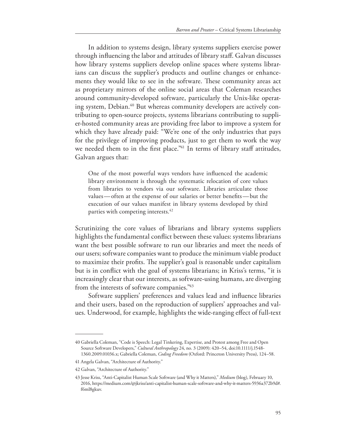In addition to systems design, library systems suppliers exercise power through infuencing the labor and attitudes of library staf. Galvan discusses how library systems suppliers develop online spaces where systems librarians can discuss the supplier's products and outline changes or enhancements they would like to see in the software. These community areas act as proprietary mirrors of the online social areas that Coleman researches around community-developed software, particularly the Unix-like operating system, Debian.<sup>40</sup> But whereas community developers are actively contributing to open-source projects, systems librarians contributing to supplier-hosted community areas are providing free labor to improve a system for which they have already paid: "We're one of the only industries that pays for the privilege of improving products, just to get them to work the way we needed them to in the first place."<sup>41</sup> In terms of library staff attitudes, Galvan argues that:

One of the most powerful ways vendors have infuenced the academic library environment is through the systematic relocation of core values from libraries to vendors via our software. Libraries articulate those values—often at the expense of our salaries or better benefts—but the execution of our values manifest in library systems developed by third parties with competing interests.<sup>42</sup>

Scrutinizing the core values of librarians and library systems suppliers highlights the fundamental confict between these values: systems librarians want the best possible software to run our libraries and meet the needs of our users; software companies want to produce the minimum viable product to maximize their profits. The supplier's goal is reasonable under capitalism but is in confict with the goal of systems librarians; in Kriss's terms, "it is increasingly clear that our interests, as software-using humans, are diverging from the interests of software companies."43

Software suppliers' preferences and values lead and infuence libraries and their users, based on the reproduction of suppliers' approaches and values. Underwood, for example, highlights the wide-ranging efect of full-text

<sup>40</sup> Gabriella Coleman, "Code is Speech: Legal Tinkering, Expertise, and Protest among Free and Open Source Software Developers," *Cultural Anthropology* 24, no. 3 (2009): 420–54, doi:10.1111/j.1548- 1360.2009.01036.x; Gabriella Coleman, *Coding Freedom* (Oxford: Princeton University Press), 124–58.

<sup>41</sup> Angela Galvan, "Architecture of Authority."

<sup>42</sup> Galvan, "Architecture of Authority."

<sup>43</sup> Jesse Kriss, "Anti-Capitalist Human Scale Software (and Why it Matters)," *Medium* (blog), February 10, 2016, https://medium.com/@jkriss/anti-capitalist-human-scale-software-and-why-it-matters-5936a372b9d#. f6ml8gkuv.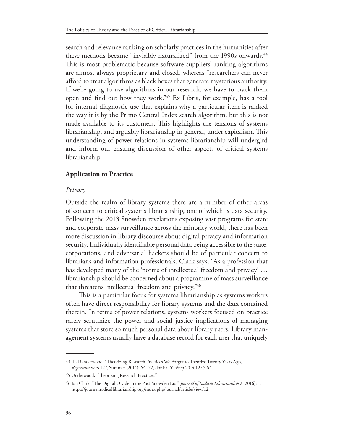search and relevance ranking on scholarly practices in the humanities after these methods became "invisibly naturalized" from the 1990s onwards.<sup>44</sup> This is most problematic because software suppliers' ranking algorithms are almost always proprietary and closed, whereas "researchers can never aford to treat algorithms as black boxes that generate mysterious authority. If we're going to use algorithms in our research, we have to crack them open and fnd out how they work."45 Ex Libris, for example, has a tool for internal diagnostic use that explains why a particular item is ranked the way it is by the Primo Central Index search algorithm, but this is not made available to its customers. This highlights the tensions of systems librarianship, and arguably librarianship in general, under capitalism. This understanding of power relations in systems librarianship will undergird and inform our ensuing discussion of other aspects of critical systems librarianship.

# **Application to Practice**

## *Privacy*

Outside the realm of library systems there are a number of other areas of concern to critical systems librarianship, one of which is data security. Following the 2013 Snowden revelations exposing vast programs for state and corporate mass surveillance across the minority world, there has been more discussion in library discourse about digital privacy and information security. Individually identifable personal data being accessible to the state, corporations, and adversarial hackers should be of particular concern to librarians and information professionals. Clark says, "As a profession that has developed many of the 'norms of intellectual freedom and privacy' … librarianship should be concerned about a programme of mass surveillance that threatens intellectual freedom and privacy."46

This is a particular focus for systems librarianship as systems workers often have direct responsibility for library systems and the data contained therein. In terms of power relations, systems workers focused on practice rarely scrutinize the power and social justice implications of managing systems that store so much personal data about library users. Library management systems usually have a database record for each user that uniquely

<sup>44</sup> Ted Underwood, "Theorizing Research Practices We Forgot to Theorize Twenty Years Ago," *Representations* 127, Summer (2014): 64–72, doi:10.1525/rep.2014.127.5.64.

<sup>45</sup> Underwood, "Theorizing Research Practices."

<sup>46</sup> Ian Clark, "Te Digital Divide in the Post-Snowden Era," *Journal of Radical Librarianship* 2 (2016): 1, https://journal.radicallibrarianship.org/index.php/journal/article/view/12.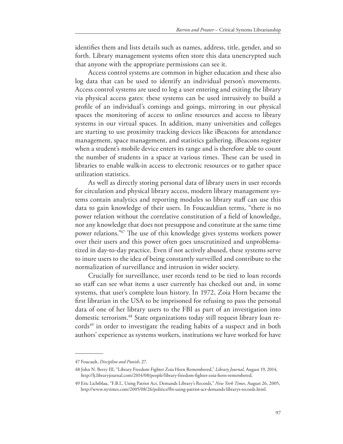identifes them and lists details such as names, address, title, gender, and so forth. Library management systems often store this data unencrypted such that anyone with the appropriate permissions can see it.

Access control systems are common in higher education and these also log data that can be used to identify an individual person's movements. Access control systems are used to log a user entering and exiting the library via physical access gates: these systems can be used intrusively to build a profle of an individual's comings and goings, mirroring in our physical spaces the monitoring of access to online resources and access to library systems in our virtual spaces. In addition, many universities and colleges are starting to use proximity tracking devices like iBeacons for attendance management, space management, and statistics gathering. iBeacons register when a student's mobile device enters its range and is therefore able to count the number of students in a space at various times. These can be used in libraries to enable walk-in access to electronic resources or to gather space utilization statistics.

As well as directly storing personal data of library users in user records for circulation and physical library access, modern library management systems contain analytics and reporting modules so library staf can use this data to gain knowledge of their users. In Foucauldian terms, "there is no power relation without the correlative constitution of a feld of knowledge, nor any knowledge that does not presuppose and constitute at the same time power relations."<sup>47</sup> The use of this knowledge gives systems workers power over their users and this power often goes unscrutinized and unproblematized in day-to-day practice. Even if not actively abused, these systems serve to inure users to the idea of being constantly surveilled and contribute to the normalization of surveillance and intrusion in wider society.

Crucially for surveillance, user records tend to be tied to loan records so staff can see what items a user currently has checked out and, in some systems, that user's complete loan history. In 1972, Zoia Horn became the frst librarian in the USA to be imprisoned for refusing to pass the personal data of one of her library users to the FBI as part of an investigation into domestic terrorism.48 State organizations today still request library loan records<sup>49</sup> in order to investigate the reading habits of a suspect and in both authors' experience as systems workers, institutions we have worked for have

<sup>47</sup> Foucault, *Discipline and Punish*, 27.

<sup>48</sup> John N. Berry III, "Library Freedom Fighter Zoia Horn Remembered," *Library Journal*, August 19, 2014, http://lj.libraryjournal.com/2014/08/people/library-freedom-fghter-zoia-horn-remembered.

<sup>49</sup> Eric Lichtblau, "F.B.I., Using Patriot Act, Demands Library's Records," *New York Times*, August 26, 2005, http://www.nytimes.com/2005/08/26/politics/fbi-using-patriot-act-demands-librarys-records.html.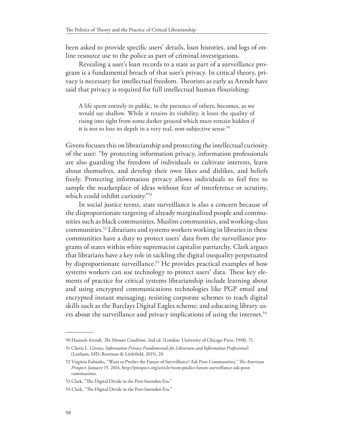been asked to provide specifc users' details, loan histories, and logs of online resource use to the police as part of criminal investigations.

Revealing a user's loan records to a state as part of a surveillance program is a fundamental breach of that user's privacy. In critical theory, privacy is necessary for intellectual freedom. Theorists as early as Arendt have said that privacy is required for full intellectual human flourishing:

A life spent entirely in public, in the presence of others, becomes, as we would say shallow. While it retains its visibility, it loses the quality of rising into sight from some darker ground which must remain hidden if it is not to lose its depth in a very real, non-subjective sense.<sup>50</sup>

Givens focuses this on librarianship and protecting the intellectual curiosity of the user: "by protecting information privacy, information professionals are also guarding the freedom of individuals to cultivate interests, learn about themselves, and develop their own likes and dislikes, and beliefs freely. Protecting information privacy allows individuals to feel free to sample the marketplace of ideas without fear of interference or scrutiny, which could inhibit curiosity."<sup>51</sup>

In social justice terms, state surveillance is also a concern because of the disproportionate targeting of already marginalized people and communities such as black communities, Muslim communities, and working-class communities.52 Librarians and systems workers working in libraries in these communities have a duty to protect users' data from the surveillance programs of states within white supremacist capitalist patriarchy. Clark argues that librarians have a key role in tackling the digital inequality perpetuated by disproportionate surveillance.<sup>53</sup> He provides practical examples of how systems workers can use technology to protect users' data. These key elements of practice for critical systems librarianship include learning about and using encrypted communications technologies like PGP email and encrypted instant messaging; resisting corporate schemes to teach digital skills such as the Barclays Digital Eagles scheme; and educating library users about the surveillance and privacy implications of using the internet.<sup>54</sup>

<sup>50</sup> Hannah Arendt, *Te Human Condition*, 2nd ed. (London: University of Chicago Press, 1998), 71.

<sup>51</sup> Cherie L. Givens, *Information Privacy Fundamentals for Librarians and Information Professionals* (Lanham, MD: Rowman & Littlefeld, 2015), 20.

<sup>52</sup> Virginia Eubanks, "Want to Predict the Future of Surveillance? Ask Poor Communities," *Te American Prospect*, January 15, 2014, http://prospect.org/article/want-predict-future-surveillance-ask-poorcommunities.

<sup>53</sup> Clark, "The Digital Divide in the Post-Snowden Era."

<sup>54</sup> Clark, "The Digital Divide in the Post-Snowden Era."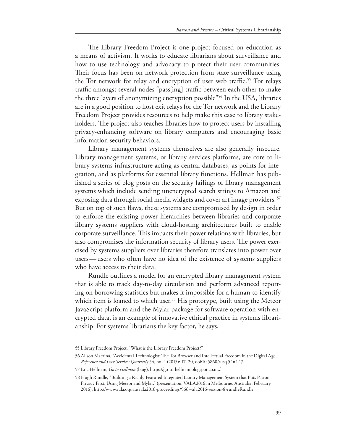The Library Freedom Project is one project focused on education as a means of activism. It works to educate librarians about surveillance and how to use technology and advocacy to protect their user communities. Their focus has been on network protection from state surveillance using the Tor network for relay and encryption of user web traffic.<sup>55</sup> Tor relays traffic amongst several nodes "pass[ing] traffic between each other to make the three layers of anonymizing encryption possible"56 In the USA, libraries are in a good position to host exit relays for the Tor network and the Library Freedom Project provides resources to help make this case to library stakeholders. The project also teaches libraries how to protect users by installing privacy-enhancing software on library computers and encouraging basic information security behaviors.

Library management systems themselves are also generally insecure. Library management systems, or library services platforms, are core to library systems infrastructure acting as central databases, as points for integration, and as platforms for essential library functions. Hellman has published a series of blog posts on the security failings of library management systems which include sending unencrypted search strings to Amazon and exposing data through social media widgets and cover art image providers. <sup>57</sup> But on top of such faws, these systems are compromised by design in order to enforce the existing power hierarchies between libraries and corporate library systems suppliers with cloud-hosting architectures built to enable corporate surveillance. This impacts their power relations with libraries, but also compromises the information security of library users. The power exercised by systems suppliers over libraries therefore translates into power over users—users who often have no idea of the existence of systems suppliers who have access to their data.

Rundle outlines a model for an encrypted library management system that is able to track day-to-day circulation and perform advanced reporting on borrowing statistics but makes it impossible for a human to identify which item is loaned to which user.<sup>58</sup> His prototype, built using the Meteor JavaScript platform and the Mylar package for software operation with encrypted data, is an example of innovative ethical practice in systems librarianship. For systems librarians the key factor, he says,

<sup>55</sup> Library Freedom Project, "What is the Library Freedom Project?"

<sup>56</sup> Alison Macrina, "Accidental Technologist: The Tor Browser and Intellectual Freedom in the Digital Age," *Reference and User Services Quarterly* 54, no. 4 (2015): 17–20, doi:10.5860/rusq.54n4.17.

<sup>57</sup> Eric Hellman, *Go to Hellman* (blog), https://go-to-hellman.blogspot.co.uk/.

<sup>58</sup> Hugh Rundle, "Building a Richly-Featured Integrated Library Management System that Puts Patron Privacy First, Using Meteor and Mylar," (presentation, VALA2016 in Melbourne, Australia, February 2016), http://www.vala.org.au/vala2016-proceedings/966-vala2016-session-8-rundleRundle.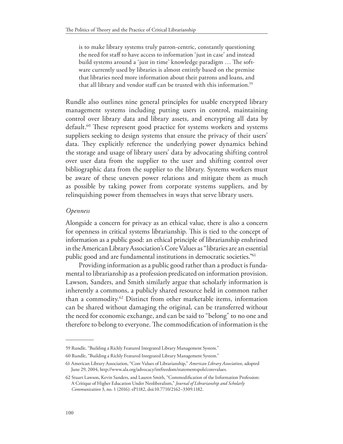is to make library systems truly patron-centric, constantly questioning the need for staf to have access to information 'just in case' and instead build systems around a 'just in time' knowledge paradigm ... The software currently used by libraries is almost entirely based on the premise that libraries need more information about their patrons and loans, and that all library and vendor staff can be trusted with this information.<sup>59</sup>

Rundle also outlines nine general principles for usable encrypted library management systems including putting users in control, maintaining control over library data and library assets, and encrypting all data by default.<sup>60</sup> These represent good practice for systems workers and systems suppliers seeking to design systems that ensure the privacy of their users' data. They explicitly reference the underlying power dynamics behind the storage and usage of library users' data by advocating shifting control over user data from the supplier to the user and shifting control over bibliographic data from the supplier to the library. Systems workers must be aware of these uneven power relations and mitigate them as much as possible by taking power from corporate systems suppliers, and by relinquishing power from themselves in ways that serve library users.

## *Openness*

Alongside a concern for privacy as an ethical value, there is also a concern for openness in critical systems librarianship. This is tied to the concept of information as a public good: an ethical principle of librarianship enshrined in the American Library Association's Core Values as "libraries are an essential public good and are fundamental institutions in democratic societies."61

Providing information as a public good rather than a product is fundamental to librarianship as a profession predicated on information provision. Lawson, Sanders, and Smith similarly argue that scholarly information is inherently a commons, a publicly shared resource held in common rather than a commodity.62 Distinct from other marketable items, information can be shared without damaging the original, can be transferred without the need for economic exchange, and can be said to "belong" to no one and therefore to belong to everyone. The commodification of information is the

<sup>59</sup> Rundle, "Building a Richly Featured Integrated Library Management System."

<sup>60</sup> Rundle, "Building a Richly Featured Integrated Library Management System."

<sup>61</sup> American Library Association, "Core Values of Librarianship," *American Library Association*, adopted June 29, 2004, http://www.ala.org/advocacy/intfreedom/statementspols/corevalues.

<sup>62</sup> Stuart Lawson, Kevin Sanders, and Lauren Smith, "Commodifcation of the Information Profession: A Critique of Higher Education Under Neoliberalism," *Journal of Librarianship and Scholarly Communication* 3, no. 1 (2016): eP1182, doi:10.7710/2162–3309.1182.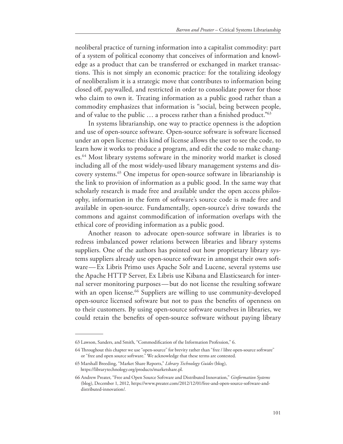neoliberal practice of turning information into a capitalist commodity: part of a system of political economy that conceives of information and knowledge as a product that can be transferred or exchanged in market transactions. This is not simply an economic practice: for the totalizing ideology of neoliberalism it is a strategic move that contributes to information being closed of, paywalled, and restricted in order to consolidate power for those who claim to own it. Treating information as a public good rather than a commodity emphasizes that information is "social, being between people, and of value to the public ... a process rather than a finished product."<sup>63</sup>

In systems librarianship, one way to practice openness is the adoption and use of open-source software. Open-source software is software licensed under an open license: this kind of license allows the user to see the code, to learn how it works to produce a program, and edit the code to make changes.64 Most library systems software in the minority world market is closed including all of the most widely-used library management systems and discovery systems.65 One impetus for open-source software in librarianship is the link to provision of information as a public good. In the same way that scholarly research is made free and available under the open access philosophy, information in the form of software's source code is made free and available in open-source. Fundamentally, open-source's drive towards the commons and against commodifcation of information overlaps with the ethical core of providing information as a public good.

Another reason to advocate open-source software in libraries is to redress imbalanced power relations between libraries and library systems suppliers. One of the authors has pointed out how proprietary library systems suppliers already use open-source software in amongst their own software—Ex Libris Primo uses Apache Solr and Lucene, several systems use the Apache HTTP Server, Ex Libris use Kibana and Elasticsearch for internal server monitoring purposes—but do not license the resulting software with an open license.<sup>66</sup> Suppliers are willing to use community-developed open-source licensed software but not to pass the benefts of openness on to their customers. By using open-source software ourselves in libraries, we could retain the benefts of open-source software without paying library

<sup>63</sup> Lawson, Sanders, and Smith, "Commodifcation of the Information Profession," 6.

<sup>64</sup> Troughout this chapter we use "open-source" for brevity rather than "free / libre open-source software" or "free and open source software." We acknowledge that these terms are contested.

<sup>65</sup> Marshall Breeding, "Market Share Reports," *Library Technology Guides* (blog), https://librarytechnology.org/products/marketshare.pl.

<sup>66</sup> Andrew Preater, "Free and Open Source Software and Distributed Innovation," *Ginformation Systems*  (blog), December 1, 2012, https://www.preater.com/2012/12/01/free-and-open-source-software-anddistributed-innovation/.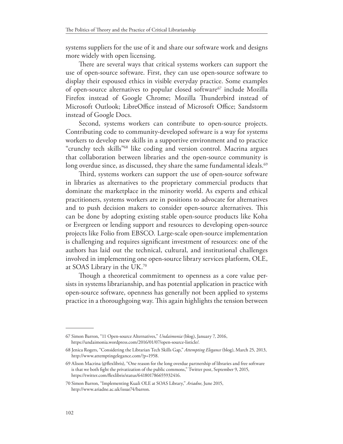systems suppliers for the use of it and share our software work and designs more widely with open licensing.

There are several ways that critical systems workers can support the use of open-source software. First, they can use open-source software to display their espoused ethics in visible everyday practice. Some examples of open-source alternatives to popular closed software<sup>67</sup> include Mozilla Firefox instead of Google Chrome; Mozilla Thunderbird instead of Microsoft Outlook; LibreOffice instead of Microsoft Office; Sandstorm instead of Google Docs.

Second, systems workers can contribute to open-source projects. Contributing code to community-developed software is a way for systems workers to develop new skills in a supportive environment and to practice "crunchy tech skills"68 like coding and version control. Macrina argues that collaboration between libraries and the open-source community is long overdue since, as discussed, they share the same fundamental ideals.<sup>69</sup>

Third, systems workers can support the use of open-source software in libraries as alternatives to the proprietary commercial products that dominate the marketplace in the minority world. As experts and ethical practitioners, systems workers are in positions to advocate for alternatives and to push decision makers to consider open-source alternatives. This can be done by adopting existing stable open-source products like Koha or Evergreen or lending support and resources to developing open-source projects like Folio from EBSCO. Large-scale open-source implementation is challenging and requires signifcant investment of resources: one of the authors has laid out the technical, cultural, and institutional challenges involved in implementing one open-source library services platform, OLE, at SOAS Library in the UK.70

Though a theoretical commitment to openness as a core value persists in systems librarianship, and has potential application in practice with open-source software, openness has generally not been applied to systems practice in a thoroughgoing way. This again highlights the tension between

<sup>67</sup> Simon Barron, "11 Open-source Alternatives," *Undaimonia* (blog), January 7, 2016, https://undaimonia.wordpress.com/2016/01/07/open-source-listicle/.

<sup>68</sup> Jenica Rogers, "Considering the Librarian Tech Skills Gap," *Attempting Elegance* (blog), March 25, 2013, http://www.attemptingelegance.com/?p=1958.

<sup>69</sup> Alison Macrina (@fexlibris), "One reason for the long overdue partnership of libraries and free software is that we both fght the privatization of the public commons," Twitter post, September 9, 2015, https://twitter.com/fexlibris/status/641801786655932416.

<sup>70</sup> Simon Barron, "Implementing Kuali OLE at SOAS Library," *Ariadne*, June 2015, http://www.ariadne.ac.uk/issue74/barron.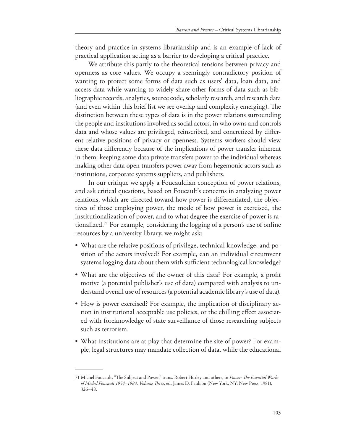theory and practice in systems librarianship and is an example of lack of practical application acting as a barrier to developing a critical practice.

We attribute this partly to the theoretical tensions between privacy and openness as core values. We occupy a seemingly contradictory position of wanting to protect some forms of data such as users' data, loan data, and access data while wanting to widely share other forms of data such as bibliographic records, analytics, source code, scholarly research, and research data (and even within this brief list we see overlap and complexity emerging). The distinction between these types of data is in the power relations surrounding the people and institutions involved as social actors, in who owns and controls data and whose values are privileged, reinscribed, and concretized by diferent relative positions of privacy or openness. Systems workers should view these data diferently because of the implications of power transfer inherent in them: keeping some data private transfers power to the individual whereas making other data open transfers power away from hegemonic actors such as institutions, corporate systems suppliers, and publishers.

In our critique we apply a Foucauldian conception of power relations, and ask critical questions, based on Foucault's concerns in analyzing power relations, which are directed toward how power is diferentiated, the objectives of those employing power, the mode of how power is exercised, the institutionalization of power, and to what degree the exercise of power is rationalized.71 For example, considering the logging of a person's use of online resources by a university library, we might ask:

- What are the relative positions of privilege, technical knowledge, and position of the actors involved? For example, can an individual circumvent systems logging data about them with sufficient technological knowledge?
- What are the objectives of the owner of this data? For example, a proft motive (a potential publisher's use of data) compared with analysis to understand overall use of resources (a potential academic library's use of data).
- How is power exercised? For example, the implication of disciplinary action in institutional acceptable use policies, or the chilling efect associated with foreknowledge of state surveillance of those researching subjects such as terrorism.
- What institutions are at play that determine the site of power? For example, legal structures may mandate collection of data, while the educational

<sup>71</sup> Michel Foucault, "Te Subject and Power," trans. Robert Hurley and others, in *Power: Te Essential Works of Michel Foucault 1954–1984. Volume Tree*, ed. James D. Faubion (New York, NY: New Press, 1981), 326–48.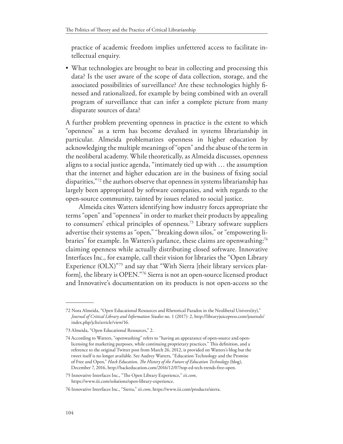practice of academic freedom implies unfettered access to facilitate intellectual enquiry.

• What technologies are brought to bear in collecting and processing this data? Is the user aware of the scope of data collection, storage, and the associated possibilities of surveillance? Are these technologies highly fnessed and rationalized, for example by being combined with an overall program of surveillance that can infer a complete picture from many disparate sources of data?

A further problem preventing openness in practice is the extent to which "openness" as a term has become devalued in systems librarianship in particular. Almeida problematizes openness in higher education by acknowledging the multiple meanings of "open" and the abuse of the term in the neoliberal academy. While theoretically, as Almeida discusses, openness aligns to a social justice agenda, "intimately tied up with … the assumption that the internet and higher education are in the business of fxing social disparities,"72 the authors observe that openness in systems librarianship has largely been appropriated by software companies, and with regards to the open-source community, tainted by issues related to social justice.

Almeida cites Watters identifying how industry forces appropriate the terms "open" and "openness" in order to market their products by appealing to consumers' ethical principles of openness.73 Library software suppliers advertise their systems as "open," "breaking down silos," or "empowering libraries" for example. In Watters's parlance, these claims are openwashing:<sup>74</sup> claiming openness while actually distributing closed software. Innovative Interfaces Inc., for example, call their vision for libraries the "Open Library Experience (OLX)"75 and say that "With Sierra [their library services platform], the library is OPEN."76 Sierra is not an open-source licensed product and Innovative's documentation on its products is not open-access so the

<sup>72</sup> Nora Almeida, "Open Educational Resources and Rhetorical Paradox in the Neoliberal Univers(ity)," *Journal of Critical Library and Information Studies* no. 1 (2017): 2, http://libraryjuicepress.com/journals/ index.php/jclis/article/view/16.

<sup>73</sup> Almeida, "Open Educational Resources," 2.

<sup>74</sup> According to Watters, "openwashing" refers to "having an appearance of open-source and openlicensing for marketing purposes, while continuing proprietary practices." This definition, and a reference to the original Twitter post from March 26, 2012, is provided on Watters's blog but the tweet itself is no longer available. See Audrey Watters, "Education Technology and the Promise of Free and Open," *Hack Education, Te History of the Future of Education Technology* (blog), December 7, 2016, http://hackeducation.com/2016/12/07/top-ed-tech-trends-free-open.

<sup>75</sup> Innovative Interfaces Inc., "The Open Library Experience," iii.com, https://www.iii.com/solutions/open-library-experience.

<sup>76</sup> Innovative Interfaces Inc., "Sierra," *iii.com*, https://www.iii.com/products/sierra.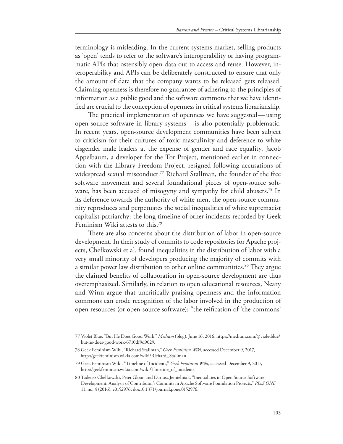terminology is misleading. In the current systems market, selling products as 'open' tends to refer to the software's interoperability or having programmatic APIs that ostensibly open data out to access and reuse. However, interoperability and APIs can be deliberately constructed to ensure that only the amount of data that the company wants to be released gets released. Claiming openness is therefore no guarantee of adhering to the principles of information as a public good and the software commons that we have identifed are crucial to the conception of openness in critical systems librarianship.

The practical implementation of openness we have suggested—using open-source software in library systems—is also potentially problematic. In recent years, open-source development communities have been subject to criticism for their cultures of toxic masculinity and deference to white cisgender male leaders at the expense of gender and race equality. Jacob Appelbaum, a developer for the Tor Project, mentioned earlier in connection with the Library Freedom Project, resigned following accusations of widespread sexual misconduct.<sup>77</sup> Richard Stallman, the founder of the free software movement and several foundational pieces of open-source software, has been accused of misogyny and sympathy for child abusers.78 In its deference towards the authority of white men, the open-source community reproduces and perpetuates the social inequalities of white supremacist capitalist patriarchy: the long timeline of other incidents recorded by Geek Feminism Wiki attests to this.79

There are also concerns about the distribution of labor in open-source development. In their study of commits to code repositories for Apache projects, Chełkowski et al. found inequalities in the distribution of labor with a very small minority of developers producing the majority of commits with a similar power law distribution to other online communities.<sup>80</sup> They argue the claimed benefts of collaboration in open-source development are thus overemphasized. Similarly, in relation to open educational resources, Neary and Winn argue that uncritically praising openness and the information commons can erode recognition of the labor involved in the production of open resources (or open-source software): "the reifcation of 'the commons'

<sup>77</sup> Violet Blue, "But He Does Good Work," *Medium* (blog), June 16, 2016, https://medium.com/@violetblue/ but-he-does-good-work-6710df9d9029.

<sup>78</sup> Geek Feminism Wiki, "Richard Stallman," *Geek Feminism Wiki*, accessed December 9, 2017, http://geekfeminism.wikia.com/wiki/Richard\_Stallman.

<sup>79</sup> Geek Feminism Wiki, "Timeline of Incidents," *Geek Feminism Wiki*, accessed December 9, 2017, http://geekfeminism.wikia.com/wiki/Timeline\_of\_incidents.

<sup>80</sup> Tadeusz Chełkowski, Peter Gloor, and Dariusz Jemielniak, "Inequalities in Open Source Software Development: Analysis of Contributor's Commits in Apache Software Foundation Projects," *PLoS ONE* 11, no. 4 (2016): e0152976, doi:10.1371/journal.pone.0152976.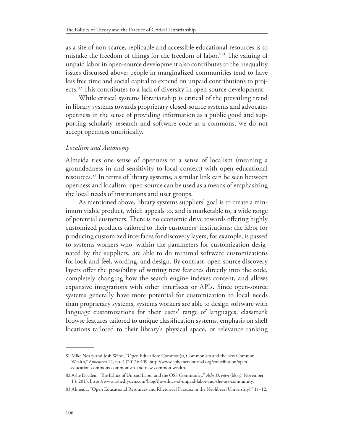as a site of non-scarce, replicable and accessible educational resources is to mistake the freedom of things for the freedom of labor."<sup>81</sup> The valuing of unpaid labor in open-source development also contributes to the inequality issues discussed above: people in marginalized communities tend to have less free time and social capital to expend on unpaid contributions to projects.<sup>82</sup> This contributes to a lack of diversity in open-source development.

While critical systems librarianship is critical of the prevailing trend in library systems towards proprietary closed-source systems and advocates openness in the sense of providing information as a public good and supporting scholarly research and software code as a commons, we do not accept openness uncritically.

## *Localism and Autonomy*

Almeida ties one sense of openness to a sense of localism (meaning a groundedness in and sensitivity to local context) with open educational resources.83 In terms of library systems, a similar link can be seen between openness and localism: open-source can be used as a means of emphasizing the local needs of institutions and user groups.

As mentioned above, library systems suppliers' goal is to create a minimum viable product, which appeals to, and is marketable to, a wide range of potential customers. There is no economic drive towards offering highly customized products tailored to their customers' institutions: the labor for producing customized interfaces for discovery layers, for example, is passed to systems workers who, within the parameters for customization designated by the suppliers, are able to do minimal software customizations for look-and-feel, wording, and design. By contrast, open-source discovery layers offer the possibility of writing new features directly into the code, completely changing how the search engine indexes content, and allows expansive integrations with other interfaces or APIs. Since open-source systems generally have more potential for customization to local needs than proprietary systems, systems workers are able to design software with language customizations for their users' range of languages, classmark browse features tailored to unique classifcation systems, emphasis on shelf locations tailored to their library's physical space, or relevance ranking

<sup>81</sup> Mike Neary and Josh Winn, "Open Education: Common(s), Commonism and the new Common Wealth," *Ephemera* 12, no. 4 (2012): 409, http://www.ephemerajournal.org/contribution/openeducation-commons-commonism-and-new-common-wealth.

<sup>82</sup> Ashe Dryden, "Te Ethics of Unpaid Labor and the OSS Community," *Ashe Dryden* (blog), November 13, 2013, https://www.ashedryden.com/blog/the-ethics-of-unpaid-labor-and-the-oss-community.

<sup>83</sup> Almeida, "Open Educational Resources and Rhetorical Paradox in the Neoliberal Univers(ity)," 11–12.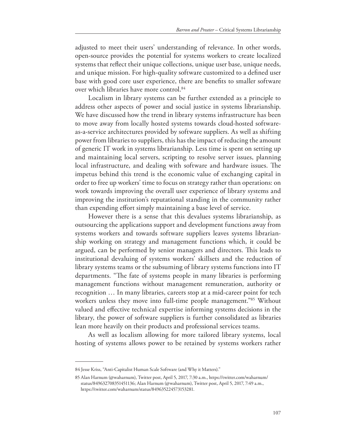adjusted to meet their users' understanding of relevance. In other words, open-source provides the potential for systems workers to create localized systems that refect their unique collections, unique user base, unique needs, and unique mission. For high-quality software customized to a defned user base with good core user experience, there are benefts to smaller software over which libraries have more control.<sup>84</sup>

Localism in library systems can be further extended as a principle to address other aspects of power and social justice in systems librarianship. We have discussed how the trend in library systems infrastructure has been to move away from locally hosted systems towards cloud-hosted softwareas-a-service architectures provided by software suppliers. As well as shifting power from libraries to suppliers, this has the impact of reducing the amount of generic IT work in systems librarianship. Less time is spent on setting up and maintaining local servers, scripting to resolve server issues, planning local infrastructure, and dealing with software and hardware issues. The impetus behind this trend is the economic value of exchanging capital in order to free up workers' time to focus on strategy rather than operations: on work towards improving the overall user experience of library systems and improving the institution's reputational standing in the community rather than expending efort simply maintaining a base level of service.

However there is a sense that this devalues systems librarianship, as outsourcing the applications support and development functions away from systems workers and towards software suppliers leaves systems librarianship working on strategy and management functions which, it could be argued, can be performed by senior managers and directors. This leads to institutional devaluing of systems workers' skillsets and the reduction of library systems teams or the subsuming of library systems functions into IT departments. "The fate of systems people in many libraries is performing management functions without management remuneration, authority or recognition … In many libraries, careers stop at a mid-career point for tech workers unless they move into full-time people management.<sup>"85</sup> Without valued and efective technical expertise informing systems decisions in the library, the power of software suppliers is further consolidated as libraries lean more heavily on their products and professional services teams.

As well as localism allowing for more tailored library systems, local hosting of systems allows power to be retained by systems workers rather

<sup>84</sup> Jesse Kriss, "Anti-Capitalist Human Scale Software (and Why it Matters)."

<sup>85</sup> Alan Harnum (@waharnum), Twitter post, April 5, 2017, 7:30 a.m., https://twitter.com/waharnum/ status/849632708351451136; Alan Harnum (@waharnum), Twitter post, April 5, 2017, 7:49 a.m., https://twitter.com/waharnum/status/849635224573153281.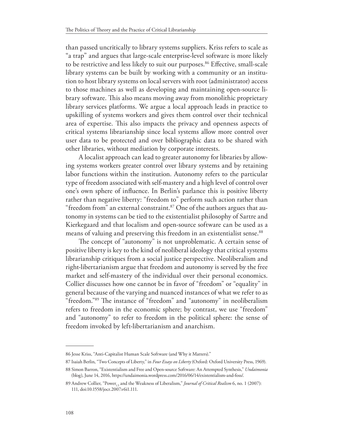than passed uncritically to library systems suppliers. Kriss refers to scale as "a trap" and argues that large-scale enterprise-level software is more likely to be restrictive and less likely to suit our purposes.<sup>86</sup> Effective, small-scale library systems can be built by working with a community or an institution to host library systems on local servers with root (administrator) access to those machines as well as developing and maintaining open-source library software. This also means moving away from monolithic proprietary library services platforms. We argue a local approach leads in practice to upskilling of systems workers and gives them control over their technical area of expertise. This also impacts the privacy and openness aspects of critical systems librarianship since local systems allow more control over user data to be protected and over bibliographic data to be shared with other libraries, without mediation by corporate interests.

A localist approach can lead to greater autonomy for libraries by allowing systems workers greater control over library systems and by retaining labor functions within the institution. Autonomy refers to the particular type of freedom associated with self-mastery and a high level of control over one's own sphere of infuence. In Berlin's parlance this is positive liberty rather than negative liberty: "freedom to" perform such action rather than "freedom from" an external constraint. $87$  One of the authors argues that autonomy in systems can be tied to the existentialist philosophy of Sartre and Kierkegaard and that localism and open-source software can be used as a means of valuing and preserving this freedom in an existentialist sense.<sup>88</sup>

The concept of "autonomy" is not unproblematic. A certain sense of positive liberty is key to the kind of neoliberal ideology that critical systems librarianship critiques from a social justice perspective. Neoliberalism and right-libertarianism argue that freedom and autonomy is served by the free market and self-mastery of the individual over their personal economics. Collier discusses how one cannot be in favor of "freedom" or "equality" in general because of the varying and nuanced instances of what we refer to as "freedom."<sup>89</sup> The instance of "freedom" and "autonomy" in neoliberalism refers to freedom in the economic sphere; by contrast, we use "freedom" and "autonomy" to refer to freedom in the political sphere: the sense of freedom invoked by left-libertarianism and anarchism.

<sup>86</sup> Jesse Kriss, "Anti-Capitalist Human Scale Software (and Why it Matters)."

<sup>87</sup> Isaiah Berlin, "Two Concepts of Liberty," in *Four Essays on Liberty* (Oxford: Oxford University Press, 1969).

<sup>88</sup> Simon Barron, "Existentialism and Free and Open-source Software: An Attempted Synthesis," *Undaimonia*  (blog), June 14, 2016, https://undaimonia.wordpress.com/2016/06/14/existentialism-and-foss/.

<sup>89</sup> Andrew Collier, "Power<sub>1c</sub> and the Weakness of Liberalism," *Journal of Critical Realism* 6, no. 1 (2007): 111, doi:10.1558/jocr.2007.v6i1.111.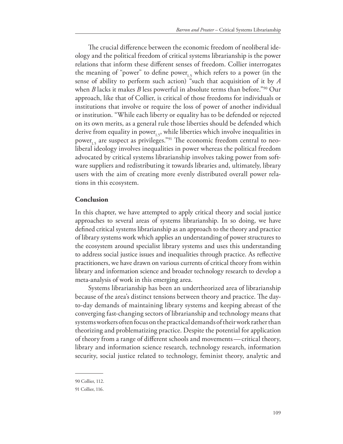The crucial difference between the economic freedom of neoliberal ideology and the political freedom of critical systems librarianship is the power relations that inform these diferent senses of freedom. Collier interrogates the meaning of "power" to define power<sub>1.5</sub> which refers to a power (in the sense of ability to perform such action) "such that acquisition of it by *A* when *B* lacks it makes *B* less powerful in absolute terms than before."90 Our approach, like that of Collier, is critical of those freedoms for individuals or institutions that involve or require the loss of power of another individual or institution. "While each liberty or equality has to be defended or rejected on its own merits, as a general rule those liberties should be defended which derive from equality in power<sub>1.5</sub>, while liberties which involve inequalities in power<sub>1.5</sub> are suspect as privileges."<sup>91</sup> The economic freedom central to neoliberal ideology involves inequalities in power whereas the political freedom advocated by critical systems librarianship involves taking power from software suppliers and redistributing it towards libraries and, ultimately, library users with the aim of creating more evenly distributed overall power relations in this ecosystem.

## **Conclusion**

In this chapter, we have attempted to apply critical theory and social justice approaches to several areas of systems librarianship. In so doing, we have defned critical systems librarianship as an approach to the theory and practice of library systems work which applies an understanding of power structures to the ecosystem around specialist library systems and uses this understanding to address social justice issues and inequalities through practice. As refective practitioners, we have drawn on various currents of critical theory from within library and information science and broader technology research to develop a meta-analysis of work in this emerging area.

Systems librarianship has been an undertheorized area of librarianship because of the area's distinct tensions between theory and practice. The dayto-day demands of maintaining library systems and keeping abreast of the converging fast-changing sectors of librarianship and technology means that systems workers often focus on the practical demands of their work rather than theorizing and problematizing practice. Despite the potential for application of theory from a range of diferent schools and movements—critical theory, library and information science research, technology research, information security, social justice related to technology, feminist theory, analytic and

<sup>90</sup> Collier, 112.

<sup>91</sup> Collier, 116.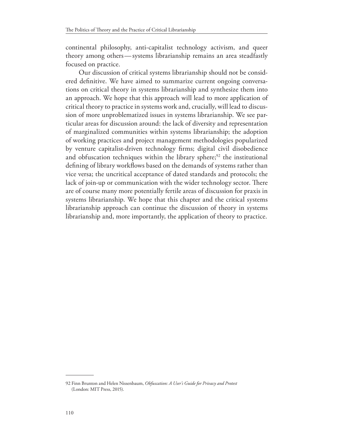continental philosophy, anti-capitalist technology activism, and queer theory among others—systems librarianship remains an area steadfastly focused on practice.

Our discussion of critical systems librarianship should not be considered defnitive. We have aimed to summarize current ongoing conversations on critical theory in systems librarianship and synthesize them into an approach. We hope that this approach will lead to more application of critical theory to practice in systems work and, crucially, will lead to discussion of more unproblematized issues in systems librarianship. We see particular areas for discussion around: the lack of diversity and representation of marginalized communities within systems librarianship; the adoption of working practices and project management methodologies popularized by venture capitalist-driven technology frms; digital civil disobedience and obfuscation techniques within the library sphere; $92$  the institutional defning of library workfows based on the demands of systems rather than vice versa; the uncritical acceptance of dated standards and protocols; the lack of join-up or communication with the wider technology sector. There are of course many more potentially fertile areas of discussion for praxis in systems librarianship. We hope that this chapter and the critical systems librarianship approach can continue the discussion of theory in systems librarianship and, more importantly, the application of theory to practice.

<sup>92</sup> Finn Brunton and Helen Nissenbaum, *Obfuscation: A User's Guide for Privacy and Protest* (London: MIT Press, 2015).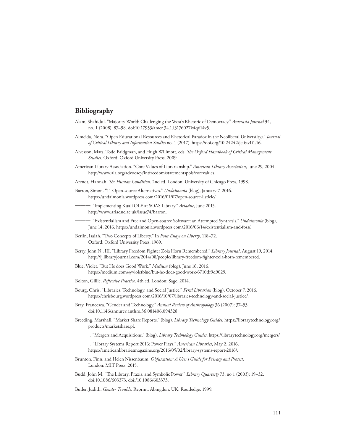# **Bibliography**

- Alam, Shahidul. "Majority World: Challenging the West's Rhetoric of Democracy." *Amerasia Journal* 34, no. 1 (2008): 87–98. doi:10.17953/amer.34.1.l3176027k4q614v5.
- Almeida, Nora. "Open Educational Resources and Rhetorical Paradox in the Neoliberal Univers(ity)." *Journal of Critical Library and Information Studies* no. 1 (2017). https://doi.org/10.24242/jclis.v1i1.16.
- Alvesson, Mats, Todd Bridgman, and Hugh Willmott, eds. *Te Oxford Handbook of Critical Management Studies.* Oxford: Oxford University Press, 2009.
- American Library Association. "Core Values of Librarianship." *American Library Association*, June 29, 2004. http://www.ala.org/advocacy/intfreedom/statementspols/corevalues.
- Arendt, Hannah. *Te Human Condition*. 2nd ed. London: University of Chicago Press, 1998.
- Barron, Simon. "11 Open-source Alternatives." *Undaimonia* (blog), January 7, 2016. https://undaimonia.wordpress.com/2016/01/07/open-source-listicle/.
- ———. "Implementing Kuali OLE at SOAS Library." *Ariadne*, June 2015. http://www.ariadne.ac.uk/issue74/barron.
- ———. "Existentialism and Free and Open-source Software: an Attempted Synthesis." *Undaimonia* (blog), June 14, 2016. https://undaimonia.wordpress.com/2016/06/14/existentialism-and-foss/.
- Berlin, Isaiah. "Two Concepts of Liberty." In *Four Essays on Liberty*, 118–72. Oxford: Oxford University Press, 1969.
- Berry, John N., III. "Library Freedom Fighter Zoia Horn Remembered." *Library Journal*, August 19, 2014. http://lj.libraryjournal.com/2014/08/people/library-freedom-fghter-zoia-horn-remembered.
- Blue, Violet. "But He does Good Work." *Medium* (blog), June 16, 2016, https://medium.com/@violetblue/but-he-does-good-work-6710df9d9029.
- Bolton, Gillie. *Reflective Practice*. 4th ed. London: Sage, 2014.
- Bourg, Chris. "Libraries, Technology, and Social Justice." *Feral Librarian* (blog), October 7, 2016. https://chrisbourg.wordpress.com/2016/10/07/libraries-technology-and-social-justice/.
- Bray, Francesca. "Gender and Technology." *Annual Review of Anthropology* 36 (2007): 37–53. doi:10.1146/annurev.anthro.36.081406.094328.
- Breeding, Marshall. "Market Share Reports." (blog). *Library Technology Guides.* https://librarytechnology.org/ products/marketshare.pl.
- ———. "Mergers and Acquisitions." (blog). *Library Technology Guides*. https://librarytechnology.org/mergers/.
- ———. "Library Systems Report 2016: Power Plays." *American Libraries*, May 2, 2016. https://americanlibrariesmagazine.org/2016/05/02/library-systems-report-2016/.
- Brunton, Finn, and Helen Nissenbaum. *Obfuscation: A User's Guide for Privacy and Protest*. London: MIT Press, 2015.
- Budd, John M. "Te Library, Praxis, and Symbolic Power." *Library Quarterly* 73, no 1 (2003): 19–32. doi:10.1086/603373. doi:/10.1086/603373.
- Butler, Judith. *Gender Trouble*. Reprint. Abingdon, UK: Routledge, 1999.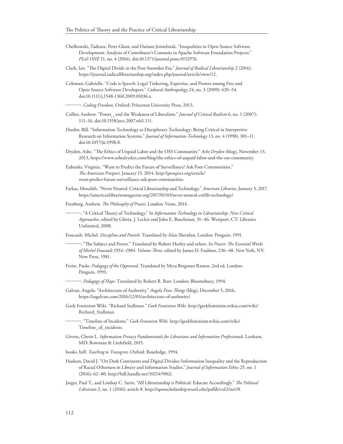- Chełkowski, Tadeusz, Peter Gloor, and Dariusz Jemielniak. "Inequalities in Open Source Software Development: Analysis of Contributor's Commits in Apache Software Foundation Projects." *PLoS ONE* 11, no. 4 (2016). doi:10.1371/journal.pone.0152976.
- Clark, Ian. "The Digital Divide in the Post-Snowden Era." *Journal of Radical Librarianship* 2 (2016). https://journal.radicallibrarianship.org/index.php/journal/article/view/12.
- Coleman, Gabriella. "Code is Speech: Legal Tinkering, Expertise, and Protest among Free and Open Source Software Developers." *Cultural Anthropology* 24, no. 3 (2009): 420–54. doi:10.1111/j.1548-1360.2009.01036.x.

———. *Coding Freedom*. Oxford: Princeton University Press, 2013.

- Collier, Andrew. "Power<sub>1.5</sub> and the Weakness of Liberalism." *Journal of Critical Realism* 6, no. 1 (2007): 111–16. doi:10.1558/jocr.2007.v6i1.111.
- Doolin, Bill. "Information Technology as Disciplinary Technology: Being Critical in Interpretive Research on Information Systems." *Journal of Information Technology* 13, no. 4 (1998): 301–11. doi:10.1057/jit.1998.8.
- Dryden, Ashe. "The Ethics of Unpaid Labor and the OSS Community." Ashe Dryden (blog), November 13, 2013, https://www.ashedryden.com/blog/the-ethics-of-unpaid-labor-and-the-oss-community.
- Eubanks, Virginia. "Want to Predict the Future of Surveillance? Ask Poor Communities." *Te American Prospect*, January 15, 2014. http://prospect.org/article/ want-predict-future-surveillance-ask-poor-communities.
- Farkas, Meredith. "Never Neutral: Critical Librarianship and Technology." *American Libraries*, January 3, 2017. https://americanlibrariesmagazine.org/2017/01/03/never-neutral-critlib-technology/.
- Feenberg, Andrew. *Te Philosophy of Praxis*. London: Verso, 2014.

-. "A Critical Theory of Technology." In *Information Technology in Librarianship: New Critical Approaches*, edited by Gloria. J. Leckie and John E. Buschman, 31–46. Westport, CT: Libraries Unlimited, 2008.

Foucault, Michel. *Discipline and Punish.* Translated by Alan Sheridan. London: Penguin, 1991.

- ———. "Te Subject and Power." Translated by Robert Hurley and others. In *Power: Te Essential Works of Michel Foucault 1954–1984. Volume Tree,* edited by James D. Faubion, 236–48. New York, NY: New Press, 1981.
- Freire, Paulo. *Pedagogy of the Oppressed*. Translated by Myra Bergman Ramos. 2nd ed. London: Penguin, 1993.
	- ———. *Pedagogy of Hope*. Translated by Robert R. Barr. London: Bloomsbury, 1994.
- Galvan, Angela. "Architecture of Authority." *Angela Fixes Tings* (blog), December 5, 2016, https://asgalvan.com/2016/12/05/architecture-of-authority/.
- Geek Feminism Wiki. "Richard Stallman." *Geek Feminism Wiki*. http://geekfeminism.wikia.com/wiki/ Richard\_Stallman.

———. "Timeline of Incidents." *Geek Feminism Wiki.* http://geekfeminism.wikia.com/wiki/ Timeline\_of\_incidents.

- Givens, Cherie L. *Information Privacy Fundamentals for Librarians and Information Professionals*. Lanham, MD: Rowman & Littlefield, 2015.
- hooks, bell. *Teaching to Transgress*. Oxford: Routledge, 1994.
- Hudson, David J. "On Dark Continents and Digital Divides: Information Inequality and the Reproduction of Racial Otherness in Library and Information Studies." *Journal of Information Ethics* 25, no. 1 (2016): 62–80. http://hdl.handle.net/10214/9862.
- Jaeger, Paul T., and Lindsay C. Sarin. "All Librarianship is Political: Educate Accordingly." *Te Political Librarian* 2, no. 1 (2016): article 8. http://openscholarship.wustl.edu/pollib/vol2/iss1/8.